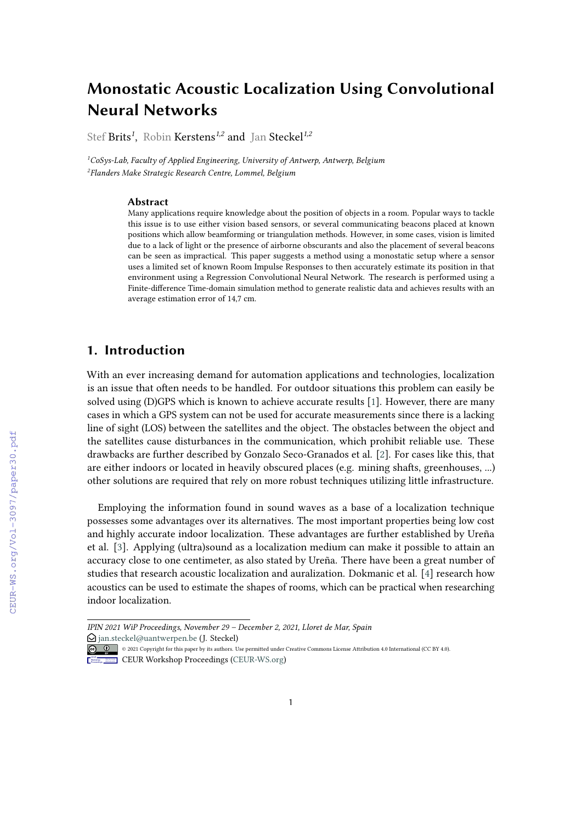# **Monostatic Acoustic Localization Using Convolutional Neural Networks**

Stef Brits*<sup>1</sup>* , Robin Kerstens*1,2* and Jan Steckel*1,2*

*<sup>1</sup>CoSys-Lab, Faculty of Applied Engineering, University of Antwerp, Antwerp, Belgium 2 Flanders Make Strategic Research Centre, Lommel, Belgium*

#### **Abstract**

Many applications require knowledge about the position of objects in a room. Popular ways to tackle this issue is to use either vision based sensors, or several communicating beacons placed at known positions which allow beamforming or triangulation methods. However, in some cases, vision is limited due to a lack of light or the presence of airborne obscurants and also the placement of several beacons can be seen as impractical. This paper suggests a method using a monostatic setup where a sensor uses a limited set of known Room Impulse Responses to then accurately estimate its position in that environment using a Regression Convolutional Neural Network. The research is performed using a Finite-difference Time-domain simulation method to generate realistic data and achieves results with an average estimation error of 14,7 cm.

# **1. Introduction**

With an ever increasing demand for automation applications and technologies, localization is an issue that often needs to be handled. For outdoor situations this problem can easily be solved using (D)GPS which is known to achieve accurate results [\[1\]](#page--1-0). However, there are many cases in which a GPS system can not be used for accurate measurements since there is a lacking line of sight (LOS) between the satellites and the object. The obstacles between the object and the satellites cause disturbances in the communication, which prohibit reliable use. These drawbacks are further described by Gonzalo Seco-Granados et al. [\[2\]](#page--1-1). For cases like this, that are either indoors or located in heavily obscured places (e.g. mining shafts, greenhouses, ...) other solutions are required that rely on more robust techniques utilizing little infrastructure.

Employing the information found in sound waves as a base of a localization technique possesses some advantages over its alternatives. The most important properties being low cost and highly accurate indoor localization. These advantages are further established by Ureña et al. [\[3\]](#page--1-2). Applying (ultra)sound as a localization medium can make it possible to attain an accuracy close to one centimeter, as also stated by Ureña. There have been a great number of studies that research acoustic localization and auralization. Dokmanic et al. [\[4\]](#page--1-3) research how acoustics can be used to estimate the shapes of rooms, which can be practical when researching indoor localization.

*IPIN 2021 WiP Proceedings, November 29 – December 2, 2021, Lloret de Mar, Spain*

 $\bigcirc$  [jan.steckel@uantwerpen.be](mailto:jan.steckel@uantwerpen.be) (J. Steckel)

<sup>© 2021</sup> Copyright for this paper by its authors. Use permitted under Creative Commons License Attribution 4.0 International (CC BY 4.0).

**CEUR Workshop [Proceedings](http://ceur-ws.org) [\(CEUR-WS.org\)](http://ceur-ws.org)**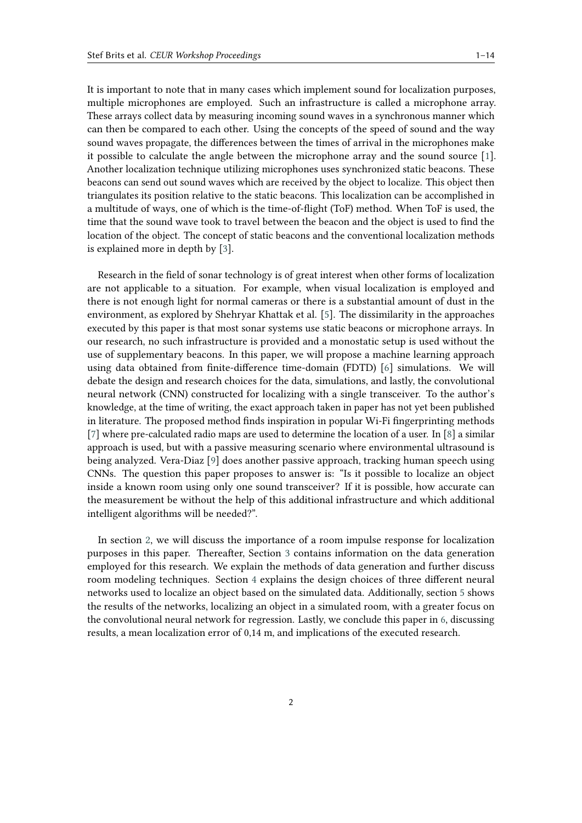It is important to note that in many cases which implement sound for localization purposes, multiple microphones are employed. Such an infrastructure is called a microphone array. These arrays collect data by measuring incoming sound waves in a synchronous manner which can then be compared to each other. Using the concepts of the speed of sound and the way sound waves propagate, the differences between the times of arrival in the microphones make it possible to calculate the angle between the microphone array and the sound source [\[1\]](#page-11-0). Another localization technique utilizing microphones uses synchronized static beacons. These beacons can send out sound waves which are received by the object to localize. This object then triangulates its position relative to the static beacons. This localization can be accomplished in a multitude of ways, one of which is the time-of-flight (ToF) method. When ToF is used, the time that the sound wave took to travel between the beacon and the object is used to find the location of the object. The concept of static beacons and the conventional localization methods is explained more in depth by [\[3\]](#page-11-1).

Research in the field of sonar technology is of great interest when other forms of localization are not applicable to a situation. For example, when visual localization is employed and there is not enough light for normal cameras or there is a substantial amount of dust in the environment, as explored by Shehryar Khattak et al. [\[5\]](#page-11-2). The dissimilarity in the approaches executed by this paper is that most sonar systems use static beacons or microphone arrays. In our research, no such infrastructure is provided and a monostatic setup is used without the use of supplementary beacons. In this paper, we will propose a machine learning approach using data obtained from finite-difference time-domain (FDTD) [\[6\]](#page-11-3) simulations. We will debate the design and research choices for the data, simulations, and lastly, the convolutional neural network (CNN) constructed for localizing with a single transceiver. To the author's knowledge, at the time of writing, the exact approach taken in paper has not yet been published in literature. The proposed method finds inspiration in popular Wi-Fi fingerprinting methods [\[7\]](#page-11-4) where pre-calculated radio maps are used to determine the location of a user. In [\[8\]](#page-12-0) a similar approach is used, but with a passive measuring scenario where environmental ultrasound is being analyzed. Vera-Diaz [\[9\]](#page-12-1) does another passive approach, tracking human speech using CNNs. The question this paper proposes to answer is: "Is it possible to localize an object inside a known room using only one sound transceiver? If it is possible, how accurate can the measurement be without the help of this additional infrastructure and which additional intelligent algorithms will be needed?".

In section [2,](#page-2-0) we will discuss the importance of a room impulse response for localization purposes in this paper. Thereafter, Section [3](#page-3-0) contains information on the data generation employed for this research. We explain the methods of data generation and further discuss room modeling techniques. Section [4](#page-5-0) explains the design choices of three different neural networks used to localize an object based on the simulated data. Additionally, section [5](#page-8-0) shows the results of the networks, localizing an object in a simulated room, with a greater focus on the convolutional neural network for regression. Lastly, we conclude this paper in [6,](#page-10-0) discussing results, a mean localization error of 0,14 m, and implications of the executed research.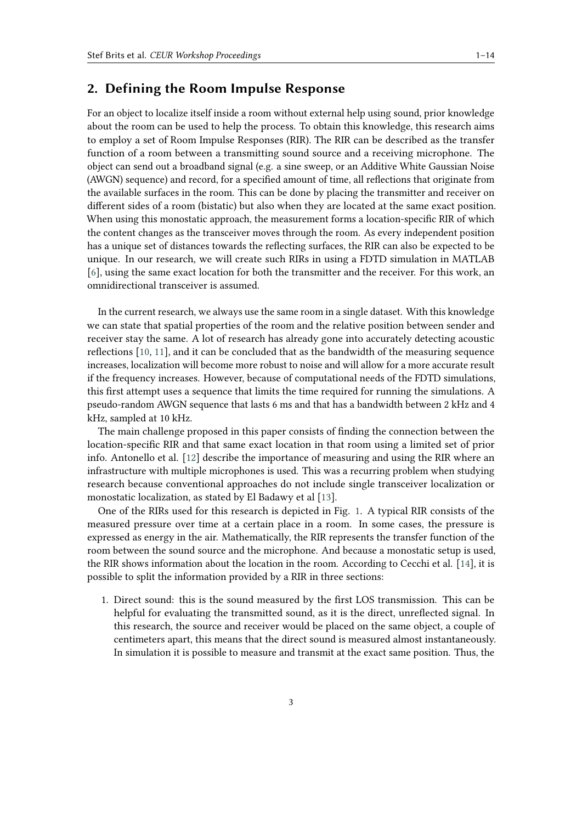## <span id="page-2-0"></span>**2. Defining the Room Impulse Response**

For an object to localize itself inside a room without external help using sound, prior knowledge about the room can be used to help the process. To obtain this knowledge, this research aims to employ a set of Room Impulse Responses (RIR). The RIR can be described as the transfer function of a room between a transmitting sound source and a receiving microphone. The object can send out a broadband signal (e.g. a sine sweep, or an Additive White Gaussian Noise (AWGN) sequence) and record, for a specified amount of time, all reflections that originate from the available surfaces in the room. This can be done by placing the transmitter and receiver on different sides of a room (bistatic) but also when they are located at the same exact position. When using this monostatic approach, the measurement forms a location-specific RIR of which the content changes as the transceiver moves through the room. As every independent position has a unique set of distances towards the reflecting surfaces, the RIR can also be expected to be unique. In our research, we will create such RIRs in using a FDTD simulation in MATLAB [\[6\]](#page-11-3), using the same exact location for both the transmitter and the receiver. For this work, an omnidirectional transceiver is assumed.

In the current research, we always use the same room in a single dataset. With this knowledge we can state that spatial properties of the room and the relative position between sender and receiver stay the same. A lot of research has already gone into accurately detecting acoustic reflections [\[10,](#page-12-2) [11\]](#page-12-3), and it can be concluded that as the bandwidth of the measuring sequence increases, localization will become more robust to noise and will allow for a more accurate result if the frequency increases. However, because of computational needs of the FDTD simulations, this first attempt uses a sequence that limits the time required for running the simulations. A pseudo-random AWGN sequence that lasts 6 ms and that has a bandwidth between 2 kHz and 4 kHz, sampled at 10 kHz.

The main challenge proposed in this paper consists of finding the connection between the location-specific RIR and that same exact location in that room using a limited set of prior info. Antonello et al. [\[12\]](#page-12-4) describe the importance of measuring and using the RIR where an infrastructure with multiple microphones is used. This was a recurring problem when studying research because conventional approaches do not include single transceiver localization or monostatic localization, as stated by El Badawy et al [\[13\]](#page-12-5).

One of the RIRs used for this research is depicted in Fig. [1.](#page-3-1) A typical RIR consists of the measured pressure over time at a certain place in a room. In some cases, the pressure is expressed as energy in the air. Mathematically, the RIR represents the transfer function of the room between the sound source and the microphone. And because a monostatic setup is used, the RIR shows information about the location in the room. According to Cecchi et al. [\[14\]](#page-12-6), it is possible to split the information provided by a RIR in three sections:

1. Direct sound: this is the sound measured by the first LOS transmission. This can be helpful for evaluating the transmitted sound, as it is the direct, unreflected signal. In this research, the source and receiver would be placed on the same object, a couple of centimeters apart, this means that the direct sound is measured almost instantaneously. In simulation it is possible to measure and transmit at the exact same position. Thus, the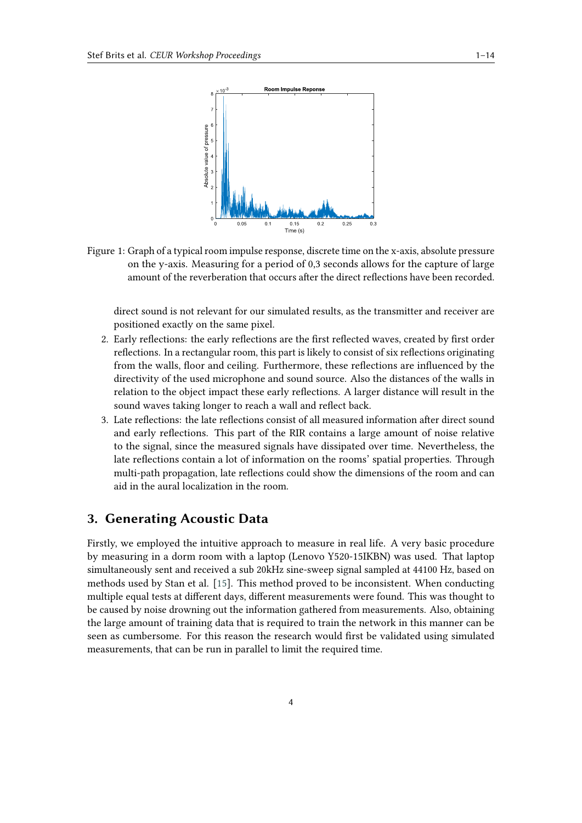<span id="page-3-1"></span>

Figure 1: Graph of a typical room impulse response, discrete time on the x-axis, absolute pressure on the y-axis. Measuring for a period of 0,3 seconds allows for the capture of large amount of the reverberation that occurs after the direct reflections have been recorded.

direct sound is not relevant for our simulated results, as the transmitter and receiver are positioned exactly on the same pixel.

- 2. Early reflections: the early reflections are the first reflected waves, created by first order reflections. In a rectangular room, this part is likely to consist of six reflections originating from the walls, floor and ceiling. Furthermore, these reflections are influenced by the directivity of the used microphone and sound source. Also the distances of the walls in relation to the object impact these early reflections. A larger distance will result in the sound waves taking longer to reach a wall and reflect back.
- 3. Late reflections: the late reflections consist of all measured information after direct sound and early reflections. This part of the RIR contains a large amount of noise relative to the signal, since the measured signals have dissipated over time. Nevertheless, the late reflections contain a lot of information on the rooms' spatial properties. Through multi-path propagation, late reflections could show the dimensions of the room and can aid in the aural localization in the room.

# <span id="page-3-0"></span>**3. Generating Acoustic Data**

Firstly, we employed the intuitive approach to measure in real life. A very basic procedure by measuring in a dorm room with a laptop (Lenovo Y520-15IKBN) was used. That laptop simultaneously sent and received a sub 20kHz sine-sweep signal sampled at 44100 Hz, based on methods used by Stan et al. [\[15\]](#page-12-7). This method proved to be inconsistent. When conducting multiple equal tests at different days, different measurements were found. This was thought to be caused by noise drowning out the information gathered from measurements. Also, obtaining the large amount of training data that is required to train the network in this manner can be seen as cumbersome. For this reason the research would first be validated using simulated measurements, that can be run in parallel to limit the required time.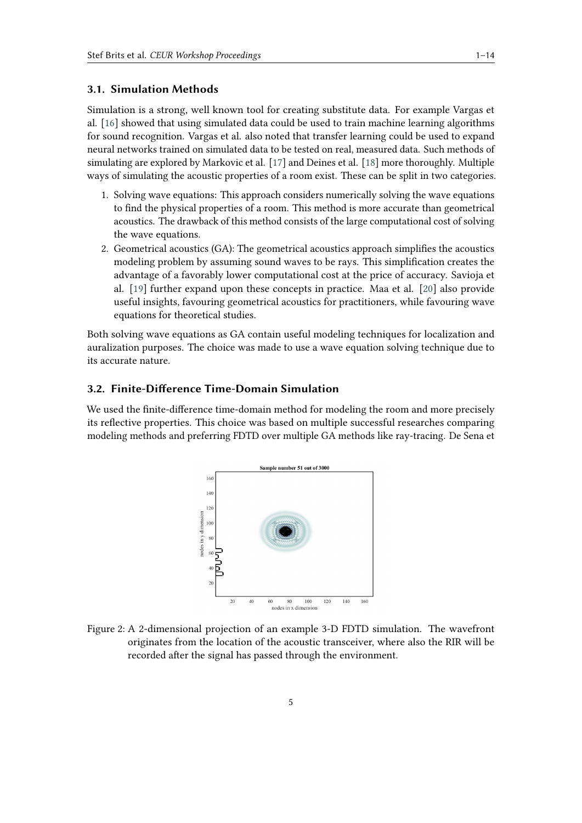### **3.1. Simulation Methods**

Simulation is a strong, well known tool for creating substitute data. For example Vargas et al. [\[16\]](#page-12-8) showed that using simulated data could be used to train machine learning algorithms for sound recognition. Vargas et al. also noted that transfer learning could be used to expand neural networks trained on simulated data to be tested on real, measured data. Such methods of simulating are explored by Markovic et al. [\[17\]](#page-12-9) and Deines et al. [\[18\]](#page-12-10) more thoroughly. Multiple ways of simulating the acoustic properties of a room exist. These can be split in two categories.

- 1. Solving wave equations: This approach considers numerically solving the wave equations to find the physical properties of a room. This method is more accurate than geometrical acoustics. The drawback of this method consists of the large computational cost of solving the wave equations.
- 2. Geometrical acoustics (GA): The geometrical acoustics approach simplifies the acoustics modeling problem by assuming sound waves to be rays. This simplification creates the advantage of a favorably lower computational cost at the price of accuracy. Savioja et al. [\[19\]](#page-12-11) further expand upon these concepts in practice. Maa et al. [\[20\]](#page-12-12) also provide useful insights, favouring geometrical acoustics for practitioners, while favouring wave equations for theoretical studies.

Both solving wave equations as GA contain useful modeling techniques for localization and auralization purposes. The choice was made to use a wave equation solving technique due to its accurate nature.

## **3.2. Finite-Difference Time-Domain Simulation**

<span id="page-4-0"></span>We used the finite-difference time-domain method for modeling the room and more precisely its reflective properties. This choice was based on multiple successful researches comparing modeling methods and preferring FDTD over multiple GA methods like ray-tracing. De Sena et



Figure 2: A 2-dimensional projection of an example 3-D FDTD simulation. The wavefront originates from the location of the acoustic transceiver, where also the RIR will be recorded after the signal has passed through the environment.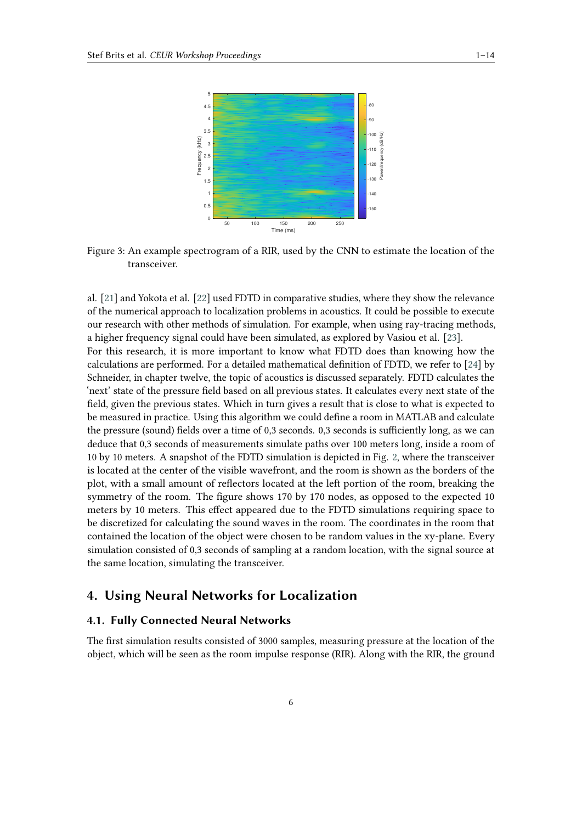

Figure 3: An example spectrogram of a RIR, used by the CNN to estimate the location of the transceiver.

al. [\[21\]](#page-12-13) and Yokota et al. [\[22\]](#page-12-14) used FDTD in comparative studies, where they show the relevance of the numerical approach to localization problems in acoustics. It could be possible to execute our research with other methods of simulation. For example, when using ray-tracing methods, a higher frequency signal could have been simulated, as explored by Vasiou et al. [\[23\]](#page-13-0). For this research, it is more important to know what FDTD does than knowing how the calculations are performed. For a detailed mathematical definition of FDTD, we refer to [\[24\]](#page-13-1) by Schneider, in chapter twelve, the topic of acoustics is discussed separately. FDTD calculates the 'next' state of the pressure field based on all previous states. It calculates every next state of the field, given the previous states. Which in turn gives a result that is close to what is expected to be measured in practice. Using this algorithm we could define a room in MATLAB and calculate the pressure (sound) fields over a time of 0,3 seconds. 0,3 seconds is sufficiently long, as we can deduce that 0,3 seconds of measurements simulate paths over 100 meters long, inside a room of 10 by 10 meters. A snapshot of the FDTD simulation is depicted in Fig. [2,](#page-4-0) where the transceiver is located at the center of the visible wavefront, and the room is shown as the borders of the plot, with a small amount of reflectors located at the left portion of the room, breaking the symmetry of the room. The figure shows 170 by 170 nodes, as opposed to the expected 10 meters by 10 meters. This effect appeared due to the FDTD simulations requiring space to be discretized for calculating the sound waves in the room. The coordinates in the room that contained the location of the object were chosen to be random values in the xy-plane. Every simulation consisted of 0,3 seconds of sampling at a random location, with the signal source at the same location, simulating the transceiver.

# <span id="page-5-0"></span>**4. Using Neural Networks for Localization**

#### **4.1. Fully Connected Neural Networks**

The first simulation results consisted of 3000 samples, measuring pressure at the location of the object, which will be seen as the room impulse response (RIR). Along with the RIR, the ground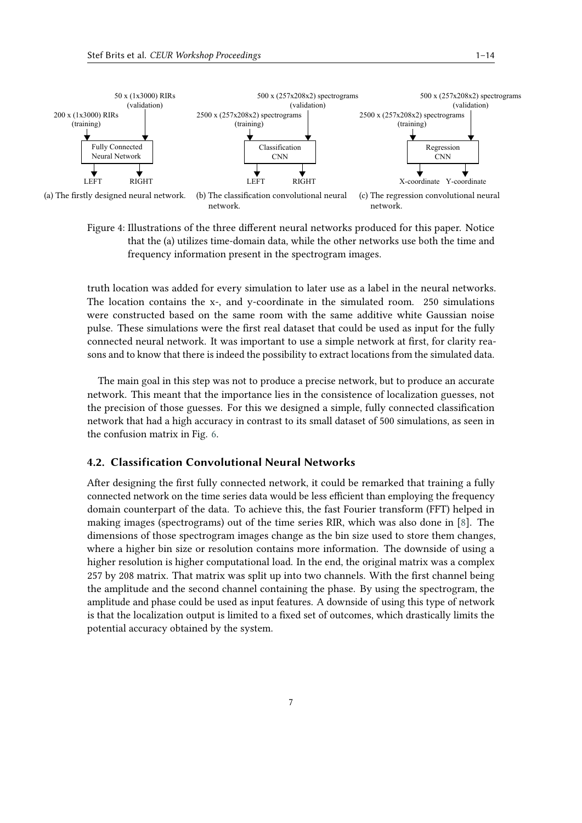

<span id="page-6-0"></span>Figure 4: Illustrations of the three different neural networks produced for this paper. Notice that the (a) utilizes time-domain data, while the other networks use both the time and frequency information present in the spectrogram images.

truth location was added for every simulation to later use as a label in the neural networks. The location contains the x-, and y-coordinate in the simulated room. 250 simulations were constructed based on the same room with the same additive white Gaussian noise pulse. These simulations were the first real dataset that could be used as input for the fully connected neural network. It was important to use a simple network at first, for clarity reasons and to know that there is indeed the possibility to extract locations from the simulated data.

The main goal in this step was not to produce a precise network, but to produce an accurate network. This meant that the importance lies in the consistence of localization guesses, not the precision of those guesses. For this we designed a simple, fully connected classification network that had a high accuracy in contrast to its small dataset of 500 simulations, as seen in the confusion matrix in Fig. [6.](#page-9-0)

### **4.2. Classification Convolutional Neural Networks**

After designing the first fully connected network, it could be remarked that training a fully connected network on the time series data would be less efficient than employing the frequency domain counterpart of the data. To achieve this, the fast Fourier transform (FFT) helped in making images (spectrograms) out of the time series RIR, which was also done in [\[8\]](#page-12-0). The dimensions of those spectrogram images change as the bin size used to store them changes, where a higher bin size or resolution contains more information. The downside of using a higher resolution is higher computational load. In the end, the original matrix was a complex 257 by 208 matrix. That matrix was split up into two channels. With the first channel being the amplitude and the second channel containing the phase. By using the spectrogram, the amplitude and phase could be used as input features. A downside of using this type of network is that the localization output is limited to a fixed set of outcomes, which drastically limits the potential accuracy obtained by the system.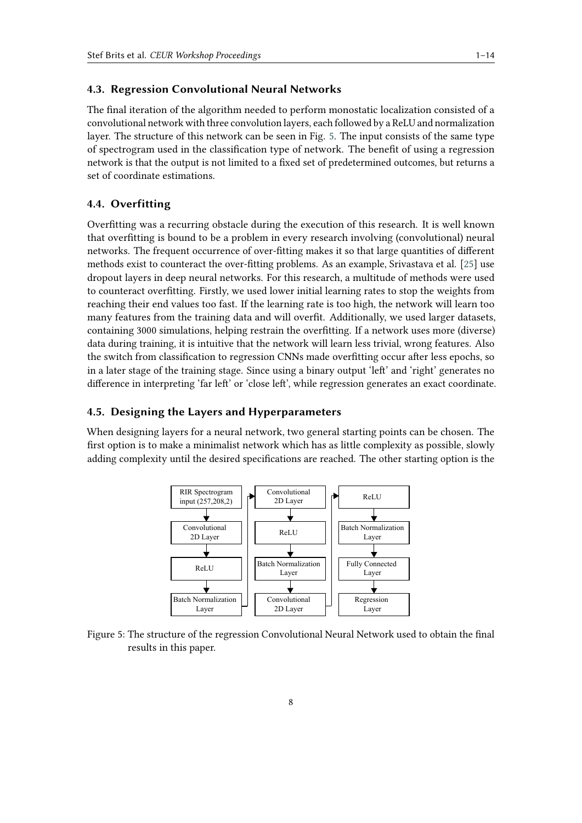## **4.3. Regression Convolutional Neural Networks**

The final iteration of the algorithm needed to perform monostatic localization consisted of a convolutional network with three convolution layers, each followed by a ReLU and normalization layer. The structure of this network can be seen in Fig. [5.](#page-7-0) The input consists of the same type of spectrogram used in the classification type of network. The benefit of using a regression network is that the output is not limited to a fixed set of predetermined outcomes, but returns a set of coordinate estimations.

#### **4.4. Overfitting**

Overfitting was a recurring obstacle during the execution of this research. It is well known that overfitting is bound to be a problem in every research involving (convolutional) neural networks. The frequent occurrence of over-fitting makes it so that large quantities of different methods exist to counteract the over-fitting problems. As an example, Srivastava et al. [\[25\]](#page-13-2) use dropout layers in deep neural networks. For this research, a multitude of methods were used to counteract overfitting. Firstly, we used lower initial learning rates to stop the weights from reaching their end values too fast. If the learning rate is too high, the network will learn too many features from the training data and will overfit. Additionally, we used larger datasets, containing 3000 simulations, helping restrain the overfitting. If a network uses more (diverse) data during training, it is intuitive that the network will learn less trivial, wrong features. Also the switch from classification to regression CNNs made overfitting occur after less epochs, so in a later stage of the training stage. Since using a binary output 'left' and 'right' generates no difference in interpreting 'far left' or 'close left', while regression generates an exact coordinate.

## **4.5. Designing the Layers and Hyperparameters**

<span id="page-7-0"></span>When designing layers for a neural network, two general starting points can be chosen. The first option is to make a minimalist network which has as little complexity as possible, slowly adding complexity until the desired specifications are reached. The other starting option is the



Figure 5: The structure of the regression Convolutional Neural Network used to obtain the final results in this paper.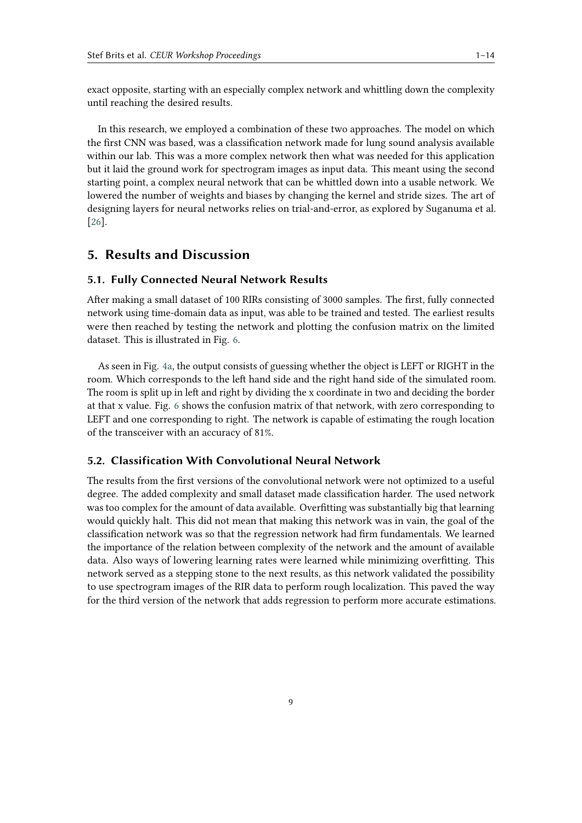exact opposite, starting with an especially complex network and whittling down the complexity until reaching the desired results.

In this research, we employed a combination of these two approaches. The model on which the first CNN was based, was a classification network made for lung sound analysis available within our lab. This was a more complex network then what was needed for this application but it laid the ground work for spectrogram images as input data. This meant using the second starting point, a complex neural network that can be whittled down into a usable network. We lowered the number of weights and biases by changing the kernel and stride sizes. The art of designing layers for neural networks relies on trial-and-error, as explored by Suganuma et al. [\[26\]](#page-13-3).

# <span id="page-8-0"></span>**5. Results and Discussion**

#### **5.1. Fully Connected Neural Network Results**

After making a small dataset of 100 RIRs consisting of 3000 samples. The first, fully connected network using time-domain data as input, was able to be trained and tested. The earliest results were then reached by testing the network and plotting the confusion matrix on the limited dataset. This is illustrated in Fig. [6.](#page-9-0)

As seen in Fig. [4a,](#page-6-0) the output consists of guessing whether the object is LEFT or RIGHT in the room. Which corresponds to the left hand side and the right hand side of the simulated room. The room is split up in left and right by dividing the x coordinate in two and deciding the border at that x value. Fig. [6](#page-9-0) shows the confusion matrix of that network, with zero corresponding to LEFT and one corresponding to right. The network is capable of estimating the rough location of the transceiver with an accuracy of 81%.

#### **5.2. Classification With Convolutional Neural Network**

The results from the first versions of the convolutional network were not optimized to a useful degree. The added complexity and small dataset made classification harder. The used network was too complex for the amount of data available. Overfitting was substantially big that learning would quickly halt. This did not mean that making this network was in vain, the goal of the classification network was so that the regression network had firm fundamentals. We learned the importance of the relation between complexity of the network and the amount of available data. Also ways of lowering learning rates were learned while minimizing overfitting. This network served as a stepping stone to the next results, as this network validated the possibility to use spectrogram images of the RIR data to perform rough localization. This paved the way for the third version of the network that adds regression to perform more accurate estimations.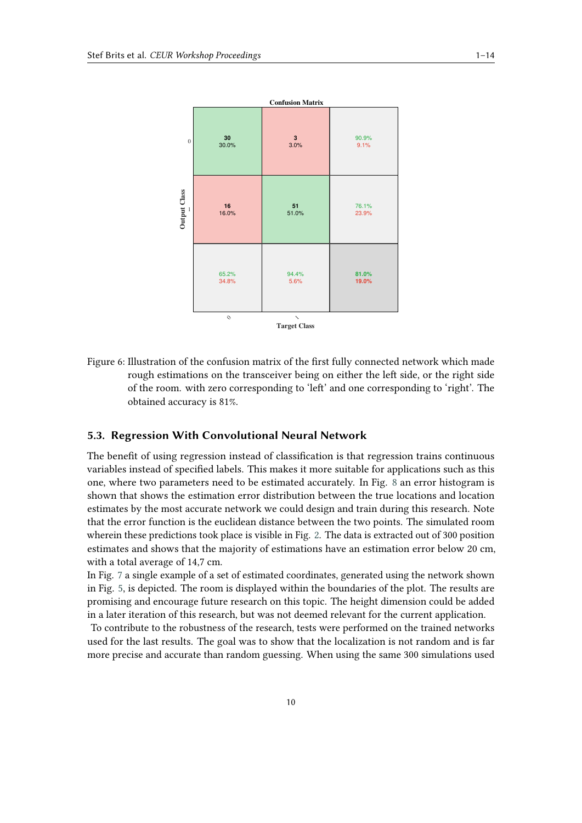<span id="page-9-0"></span>

Figure 6: Illustration of the confusion matrix of the first fully connected network which made rough estimations on the transceiver being on either the left side, or the right side of the room. with zero corresponding to 'left' and one corresponding to 'right'. The obtained accuracy is 81%.

## **5.3. Regression With Convolutional Neural Network**

The benefit of using regression instead of classification is that regression trains continuous variables instead of specified labels. This makes it more suitable for applications such as this one, where two parameters need to be estimated accurately. In Fig. [8](#page-10-1) an error histogram is shown that shows the estimation error distribution between the true locations and location estimates by the most accurate network we could design and train during this research. Note that the error function is the euclidean distance between the two points. The simulated room wherein these predictions took place is visible in Fig. [2.](#page-4-0) The data is extracted out of 300 position estimates and shows that the majority of estimations have an estimation error below 20 cm, with a total average of 14,7 cm.

In Fig. [7](#page-10-2) a single example of a set of estimated coordinates, generated using the network shown in Fig. [5,](#page-7-0) is depicted. The room is displayed within the boundaries of the plot. The results are promising and encourage future research on this topic. The height dimension could be added in a later iteration of this research, but was not deemed relevant for the current application.

To contribute to the robustness of the research, tests were performed on the trained networks used for the last results. The goal was to show that the localization is not random and is far more precise and accurate than random guessing. When using the same 300 simulations used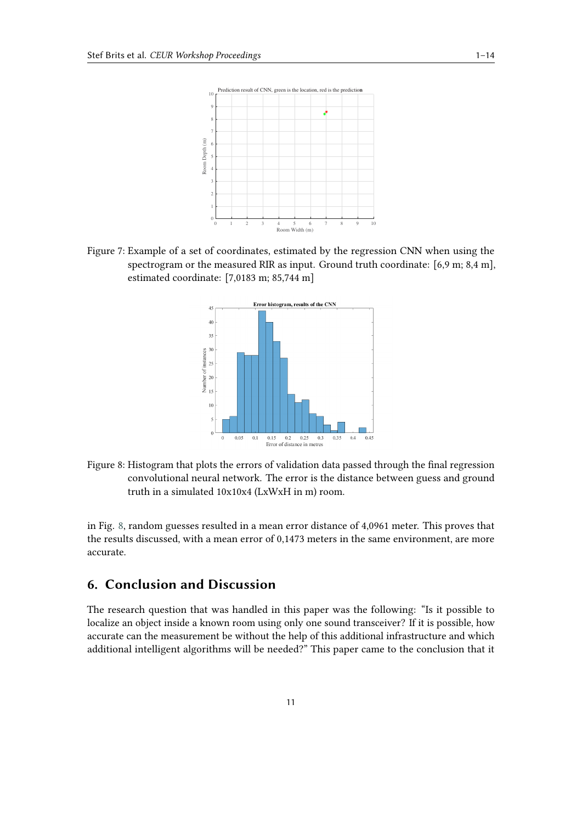<span id="page-10-2"></span>

<span id="page-10-1"></span>Figure 7: Example of a set of coordinates, estimated by the regression CNN when using the spectrogram or the measured RIR as input. Ground truth coordinate: [6,9 m; 8,4 m], estimated coordinate: [7,0183 m; 85,744 m]



Figure 8: Histogram that plots the errors of validation data passed through the final regression convolutional neural network. The error is the distance between guess and ground truth in a simulated 10x10x4 (LxWxH in m) room.

in Fig. [8,](#page-10-1) random guesses resulted in a mean error distance of 4,0961 meter. This proves that the results discussed, with a mean error of 0,1473 meters in the same environment, are more accurate.

# <span id="page-10-0"></span>**6. Conclusion and Discussion**

The research question that was handled in this paper was the following: "Is it possible to localize an object inside a known room using only one sound transceiver? If it is possible, how accurate can the measurement be without the help of this additional infrastructure and which additional intelligent algorithms will be needed?" This paper came to the conclusion that it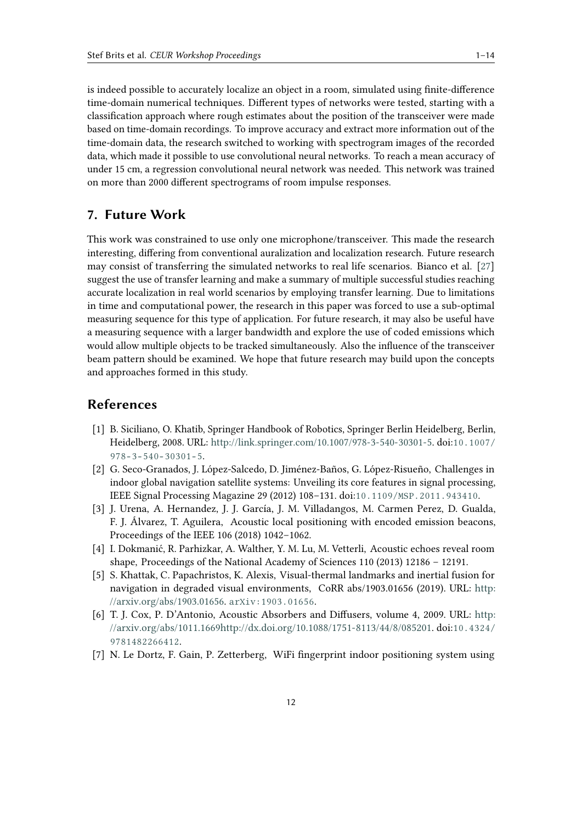is indeed possible to accurately localize an object in a room, simulated using finite-difference time-domain numerical techniques. Different types of networks were tested, starting with a classification approach where rough estimates about the position of the transceiver were made based on time-domain recordings. To improve accuracy and extract more information out of the time-domain data, the research switched to working with spectrogram images of the recorded data, which made it possible to use convolutional neural networks. To reach a mean accuracy of under 15 cm, a regression convolutional neural network was needed. This network was trained on more than 2000 different spectrograms of room impulse responses.

# **7. Future Work**

This work was constrained to use only one microphone/transceiver. This made the research interesting, differing from conventional auralization and localization research. Future research may consist of transferring the simulated networks to real life scenarios. Bianco et al. [\[27\]](#page-13-4) suggest the use of transfer learning and make a summary of multiple successful studies reaching accurate localization in real world scenarios by employing transfer learning. Due to limitations in time and computational power, the research in this paper was forced to use a sub-optimal measuring sequence for this type of application. For future research, it may also be useful have a measuring sequence with a larger bandwidth and explore the use of coded emissions which would allow multiple objects to be tracked simultaneously. Also the influence of the transceiver beam pattern should be examined. We hope that future research may build upon the concepts and approaches formed in this study.

# **References**

- <span id="page-11-0"></span>[1] B. Siciliano, O. Khatib, Springer Handbook of Robotics, Springer Berlin Heidelberg, Berlin, Heidelberg, 2008. URL: [http://link.springer.com/10.1007/978-3-540-30301-5.](http://link.springer.com/10.1007/978-3-540-30301-5) doi:[10.1007/](http://dx.doi.org/10.1007/978-3-540-30301-5)  $978 - 3 - 540 - 30301 - 5.$
- [2] G. Seco-Granados, J. López-Salcedo, D. Jiménez-Baños, G. López-Risueño, Challenges in indoor global navigation satellite systems: Unveiling its core features in signal processing, IEEE Signal Processing Magazine 29 (2012) 108–131. doi:[10.1109/MSP.2011.943410](http://dx.doi.org/10.1109/MSP.2011.943410).
- <span id="page-11-1"></span>[3] J. Urena, A. Hernandez, J. J. García, J. M. Villadangos, M. Carmen Perez, D. Gualda, F. J. Álvarez, T. Aguilera, Acoustic local positioning with encoded emission beacons, Proceedings of the IEEE 106 (2018) 1042–1062.
- [4] I. Dokmanić, R. Parhizkar, A. Walther, Y. M. Lu, M. Vetterli, Acoustic echoes reveal room shape, Proceedings of the National Academy of Sciences 110 (2013) 12186 – 12191.
- <span id="page-11-2"></span>[5] S. Khattak, C. Papachristos, K. Alexis, Visual-thermal landmarks and inertial fusion for navigation in degraded visual environments, CoRR abs/1903.01656 (2019). URL: [http:](http://arxiv.org/abs/1903.01656) [//arxiv.org/abs/1903.01656.](http://arxiv.org/abs/1903.01656) [arXiv:1903.01656](http://arxiv.org/abs/1903.01656).
- <span id="page-11-3"></span>[6] T. J. Cox, P. D'Antonio, Acoustic Absorbers and Diffusers, volume 4, 2009. URL: [http:](http://arxiv.org/abs/1011.1669 http://dx.doi.org/10.1088/1751-8113/44/8/085201) [//arxiv.org/abs/1011.1669http://dx.doi.org/10.1088/1751-8113/44/8/085201.](http://arxiv.org/abs/1011.1669 http://dx.doi.org/10.1088/1751-8113/44/8/085201) doi:[10.4324/](http://dx.doi.org/10.4324/9781482266412) [9781482266412](http://dx.doi.org/10.4324/9781482266412).
- <span id="page-11-4"></span>[7] N. Le Dortz, F. Gain, P. Zetterberg, WiFi fingerprint indoor positioning system using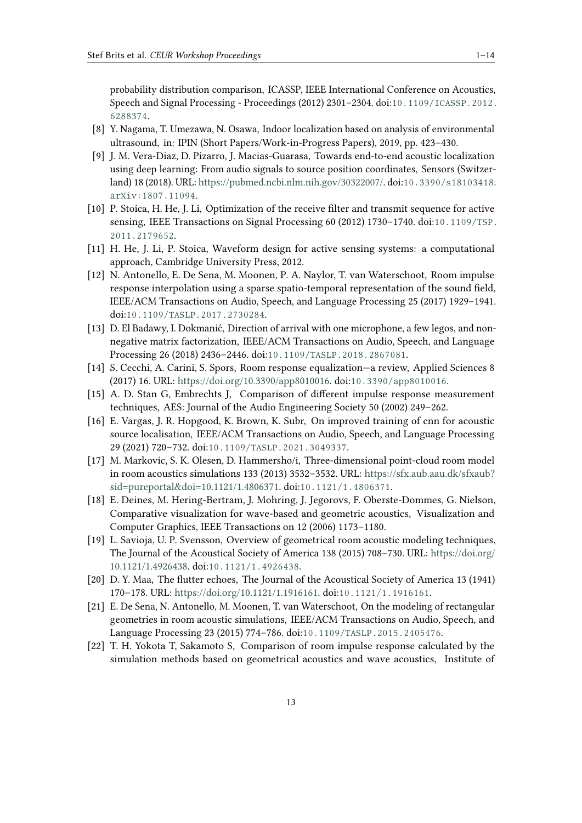probability distribution comparison, ICASSP, IEEE International Conference on Acoustics, Speech and Signal Processing - Proceedings (2012) 2301–2304. doi:[10.1109/ICASSP.2012.](http://dx.doi.org/10.1109/ICASSP.2012.6288374) [6288374](http://dx.doi.org/10.1109/ICASSP.2012.6288374).

- <span id="page-12-0"></span>[8] Y. Nagama, T. Umezawa, N. Osawa, Indoor localization based on analysis of environmental ultrasound, in: IPIN (Short Papers/Work-in-Progress Papers), 2019, pp. 423–430.
- <span id="page-12-1"></span>[9] J. M. Vera-Diaz, D. Pizarro, J. Macias-Guarasa, Towards end-to-end acoustic localization using deep learning: From audio signals to source position coordinates, Sensors (Switzerland) 18 (2018). URL: [https://pubmed.ncbi.nlm.nih.gov/30322007/.](https://pubmed.ncbi.nlm.nih.gov/30322007/) doi:[10.3390/s18103418](http://dx.doi.org/10.3390/s18103418). [arXiv:1807.11094](http://arxiv.org/abs/1807.11094).
- <span id="page-12-2"></span>[10] P. Stoica, H. He, J. Li, Optimization of the receive filter and transmit sequence for active sensing, IEEE Transactions on Signal Processing 60 (2012) 1730–1740. doi:[10.1109/TSP.](http://dx.doi.org/10.1109/TSP.2011.2179652) [2011.2179652](http://dx.doi.org/10.1109/TSP.2011.2179652).
- <span id="page-12-3"></span>[11] H. He, J. Li, P. Stoica, Waveform design for active sensing systems: a computational approach, Cambridge University Press, 2012.
- <span id="page-12-4"></span>[12] N. Antonello, E. De Sena, M. Moonen, P. A. Naylor, T. van Waterschoot, Room impulse response interpolation using a sparse spatio-temporal representation of the sound field, IEEE/ACM Transactions on Audio, Speech, and Language Processing 25 (2017) 1929–1941. doi:[10.1109/TASLP.2017.2730284](http://dx.doi.org/10.1109/TASLP.2017.2730284).
- <span id="page-12-5"></span>[13] D. El Badawy, I. Dokmanić, Direction of arrival with one microphone, a few legos, and nonnegative matrix factorization, IEEE/ACM Transactions on Audio, Speech, and Language Processing 26 (2018) 2436–2446. doi:[10.1109/TASLP.2018.2867081](http://dx.doi.org/10.1109/TASLP.2018.2867081).
- <span id="page-12-6"></span>[14] S. Cecchi, A. Carini, S. Spors, Room response equalization—a review, Applied Sciences 8 (2017) 16. URL: [https://doi.org/10.3390/app8010016.](https://doi.org/10.3390/app8010016) doi:[10.3390/app8010016](http://dx.doi.org/10.3390/app8010016).
- <span id="page-12-7"></span>[15] A. D. Stan G, Embrechts J, Comparison of different impulse response measurement techniques, AES: Journal of the Audio Engineering Society 50 (2002) 249–262.
- <span id="page-12-8"></span>[16] E. Vargas, J. R. Hopgood, K. Brown, K. Subr, On improved training of cnn for acoustic source localisation, IEEE/ACM Transactions on Audio, Speech, and Language Processing 29 (2021) 720–732. doi:[10.1109/TASLP.2021.3049337](http://dx.doi.org/10.1109/TASLP.2021.3049337).
- <span id="page-12-9"></span>[17] M. Markovic, S. K. Olesen, D. Hammersho/i, Three-dimensional point-cloud room model in room acoustics simulations 133 (2013) 3532–3532. URL: [https://sfx.aub.aau.dk/sfxaub?](https://sfx.aub.aau.dk/sfxaub?sid=pureportal&doi=10.1121/1.4806371) [sid=pureportal&doi=10.1121/1.4806371.](https://sfx.aub.aau.dk/sfxaub?sid=pureportal&doi=10.1121/1.4806371) doi:[10.1121/1.4806371](http://dx.doi.org/10.1121/1.4806371).
- <span id="page-12-10"></span>[18] E. Deines, M. Hering-Bertram, J. Mohring, J. Jegorovs, F. Oberste-Dommes, G. Nielson, Comparative visualization for wave-based and geometric acoustics, Visualization and Computer Graphics, IEEE Transactions on 12 (2006) 1173–1180.
- <span id="page-12-11"></span>[19] L. Savioja, U. P. Svensson, Overview of geometrical room acoustic modeling techniques, The Journal of the Acoustical Society of America 138 (2015) 708–730. URL: [https://doi.org/](https://doi.org/10.1121/1.4926438) [10.1121/1.4926438.](https://doi.org/10.1121/1.4926438) doi:[10.1121/1.4926438](http://dx.doi.org/10.1121/1.4926438).
- <span id="page-12-12"></span>[20] D. Y. Maa, The flutter echoes, The Journal of the Acoustical Society of America 13 (1941) 170–178. URL: [https://doi.org/10.1121/1.1916161.](https://doi.org/10.1121/1.1916161) doi:[10.1121/1.1916161](http://dx.doi.org/10.1121/1.1916161).
- <span id="page-12-13"></span>[21] E. De Sena, N. Antonello, M. Moonen, T. van Waterschoot, On the modeling of rectangular geometries in room acoustic simulations, IEEE/ACM Transactions on Audio, Speech, and Language Processing 23 (2015) 774–786. doi:[10.1109/TASLP.2015.2405476](http://dx.doi.org/10.1109/TASLP.2015.2405476).
- <span id="page-12-14"></span>[22] T. H. Yokota T, Sakamoto S, Comparison of room impulse response calculated by the simulation methods based on geometrical acoustics and wave acoustics, Institute of